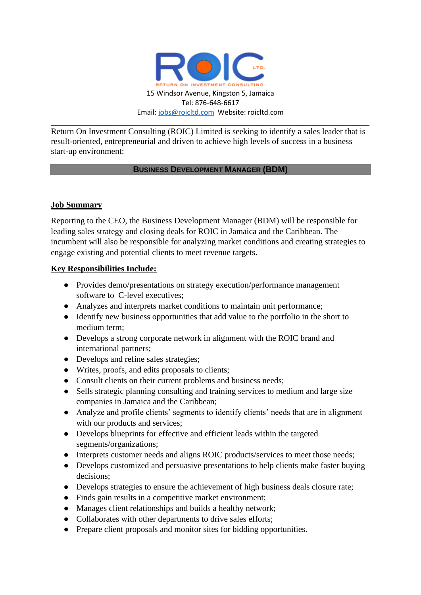

Return On Investment Consulting (ROIC) Limited is seeking to identify a sales leader that is result-oriented, entrepreneurial and driven to achieve high levels of success in a business start-up environment:

### **BUSINESS DEVELOPMENT MANAGER (BDM)**

# **Job Summary**

Reporting to the CEO, the Business Development Manager (BDM) will be responsible for leading sales strategy and closing deals for ROIC in Jamaica and the Caribbean. The incumbent will also be responsible for analyzing market conditions and creating strategies to engage existing and potential clients to meet revenue targets.

### **Key Responsibilities Include:**

- Provides demo/presentations on strategy execution/performance management software to C-level executives;
- Analyzes and interprets market conditions to maintain unit performance;
- Identify new business opportunities that add value to the portfolio in the short to medium term;
- Develops a strong corporate network in alignment with the ROIC brand and international partners;
- Develops and refine sales strategies;
- Writes, proofs, and edits proposals to clients;
- Consult clients on their current problems and business needs;
- Sells strategic planning consulting and training services to medium and large size companies in Jamaica and the Caribbean;
- Analyze and profile clients' segments to identify clients' needs that are in alignment with our products and services;
- Develops blueprints for effective and efficient leads within the targeted segments/organizations;
- Interprets customer needs and aligns ROIC products/services to meet those needs;
- Develops customized and persuasive presentations to help clients make faster buying decisions;
- Develops strategies to ensure the achievement of high business deals closure rate;
- Finds gain results in a competitive market environment;
- Manages client relationships and builds a healthy network;
- Collaborates with other departments to drive sales efforts;
- Prepare client proposals and monitor sites for bidding opportunities.